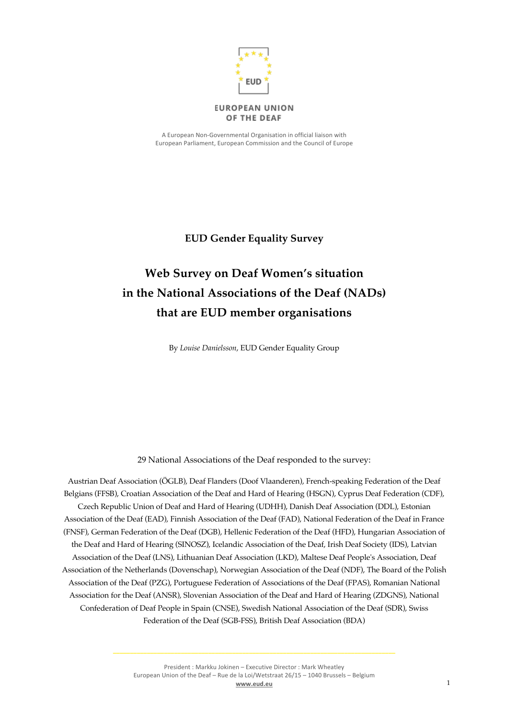

#### **EUROPEAN UNION** OF THE DEAF

A European Non-Governmental Organisation in official liaison with European Parliament, European Commission and the Council of Europe

# **EUD Gender Equality Survey**

# **Web Survey on Deaf Women's situation in the National Associations of the Deaf (NADs) that are EUD member organisations**

By *Louise Danielsson*, EUD Gender Equality Group

29 National Associations of the Deaf responded to the survey:

Austrian Deaf Association (ÖGLB), Deaf Flanders (Doof Vlaanderen), French-speaking Federation of the Deaf Belgians (FFSB), Croatian Association of the Deaf and Hard of Hearing (HSGN), Cyprus Deaf Federation (CDF), Czech Republic Union of Deaf and Hard of Hearing (UDHH), Danish Deaf Association (DDL), Estonian Association of the Deaf (EAD), Finnish Association of the Deaf (FAD), National Federation of the Deaf in France (FNSF), German Federation of the Deaf (DGB), Hellenic Federation of the Deaf (HFD), Hungarian Association of the Deaf and Hard of Hearing (SINOSZ), Icelandic Association of the Deaf, Irish Deaf Society (IDS), Latvian Association of the Deaf (LNS), Lithuanian Deaf Association (LKD), Maltese Deaf People's Association, Deaf Association of the Netherlands (Dovenschap), Norwegian Association of the Deaf (NDF), The Board of the Polish Association of the Deaf (PZG), Portuguese Federation of Associations of the Deaf (FPAS), Romanian National Association for the Deaf (ANSR), Slovenian Association of the Deaf and Hard of Hearing (ZDGNS), National Confederation of Deaf People in Spain (CNSE), Swedish National Association of the Deaf (SDR), Swiss Federation of the Deaf (SGB-FSS), British Deaf Association (BDA)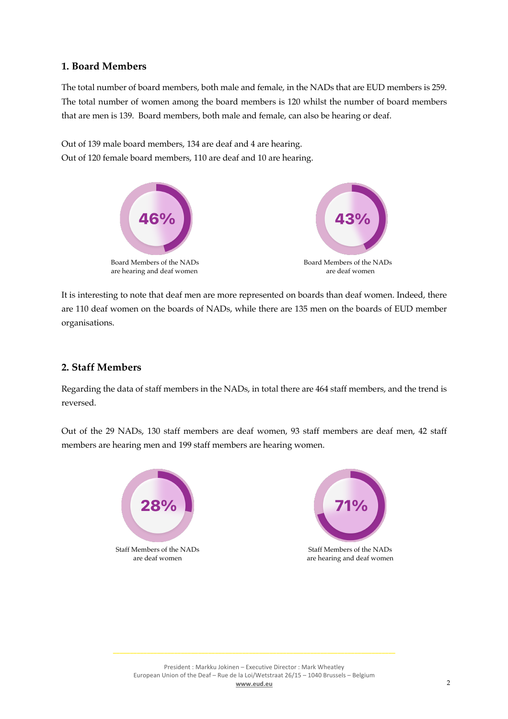### **1. Board Members**

The total number of board members, both male and female, in the NADs that are EUD members is 259. The total number of women among the board members is 120 whilst the number of board members that are men is 139. Board members, both male and female, can also be hearing or deaf.

Out of 139 male board members, 134 are deaf and 4 are hearing. Out of 120 female board members, 110 are deaf and 10 are hearing.



It is interesting to note that deaf men are more represented on boards than deaf women. Indeed, there are 110 deaf women on the boards of NADs, while there are 135 men on the boards of EUD member organisations.

## **2. Staff Members**

Regarding the data of staff members in the NADs, in total there are 464 staff members, and the trend is reversed.

Out of the 29 NADs, 130 staff members are deaf women, 93 staff members are deaf men, 42 staff members are hearing men and 199 staff members are hearing women.

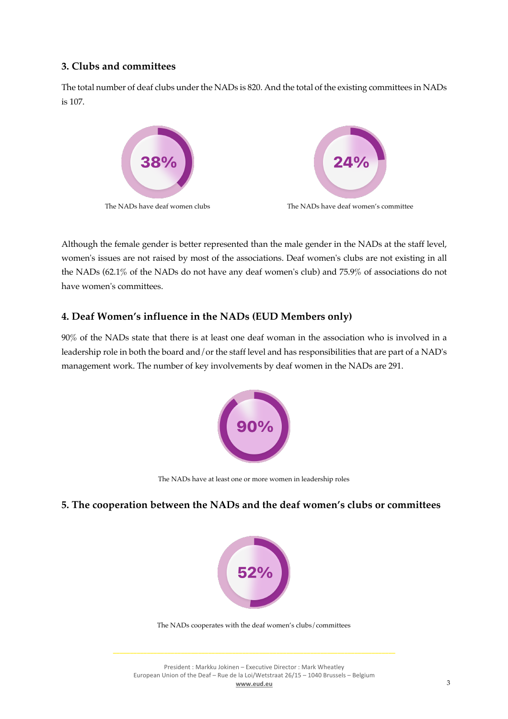# **3. Clubs and committees**

The total number of deaf clubs under the NADs is 820. And the total of the existing committees in NADs is 107.



Although the female gender is better represented than the male gender in the NADs at the staff level, women's issues are not raised by most of the associations. Deaf women's clubs are not existing in all the NADs (62.1% of the NADs do not have any deaf women's club) and 75.9% of associations do not have women's committees.

# **4. Deaf Women's influence in the NADs (EUD Members only)**

90% of the NADs state that there is at least one deaf woman in the association who is involved in a leadership role in both the board and/or the staff level and has responsibilities that are part of a NAD's management work. The number of key involvements by deaf women in the NADs are 291.



The NADs have at least one or more women in leadership roles

## **5. The cooperation between the NADs and the deaf women's clubs or committees**



The NADs cooperates with the deaf women's clubs/committees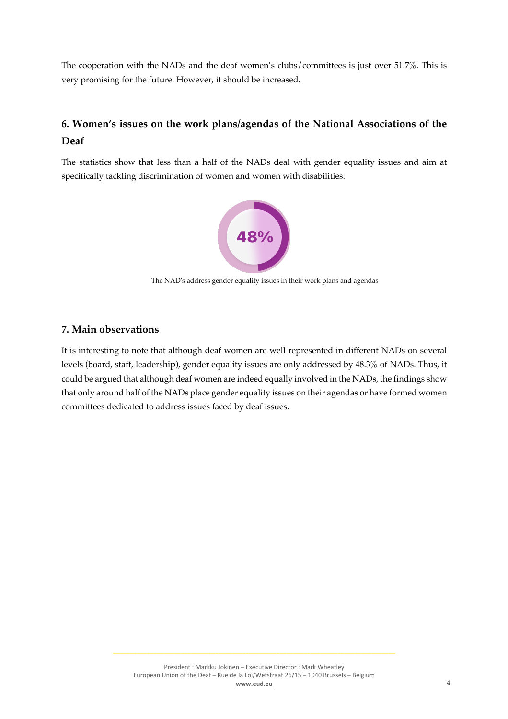The cooperation with the NADs and the deaf women's clubs/committees is just over 51.7%. This is very promising for the future. However, it should be increased.

# **6. Women's issues on the work plans/agendas of the National Associations of the Deaf**

The statistics show that less than a half of the NADs deal with gender equality issues and aim at specifically tackling discrimination of women and women with disabilities.



The NAD's address gender equality issues in their work plans and agendas

### **7. Main observations**

It is interesting to note that although deaf women are well represented in different NADs on several levels (board, staff, leadership), gender equality issues are only addressed by 48.3% of NADs. Thus, it could be argued that although deaf women are indeed equally involved in the NADs, the findings show that only around half of the NADs place gender equality issues on their agendas or have formed women committees dedicated to address issues faced by deaf issues.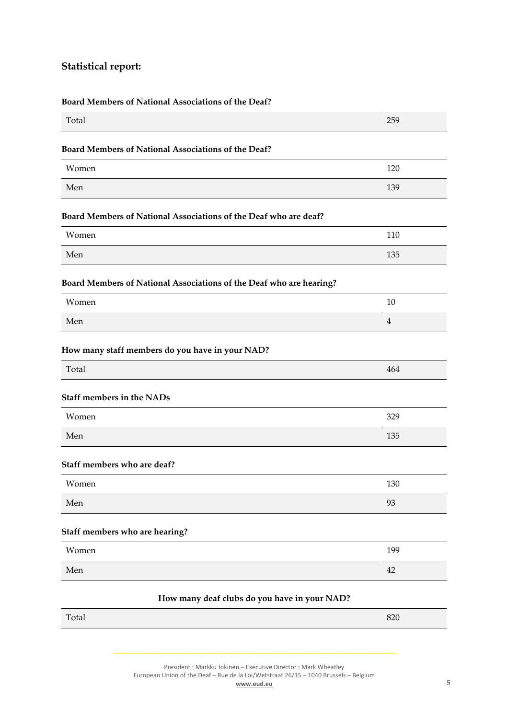# **Statistical report:**

#### **Board Members of National Associations of the Deaf?**

| 120 |
|-----|
|     |
|     |
| 139 |
|     |
| 110 |
| 135 |
|     |
| 10  |
|     |
|     |
| 464 |
|     |
| 329 |
| 135 |
|     |
| 130 |
| 93  |
|     |
| 199 |
| 42  |
|     |

| $T_{\text{a}}$<br>Total | $\Omega$<br>o∠∪ |
|-------------------------|-----------------|
|                         |                 |

President : Markku Jokinen – Executive Director : Mark Wheatley European Union of the Deaf – Rue de la Loi/Wetstraat 26/15 – 1040 Brussels – Belgium **www.eud.eu** 5